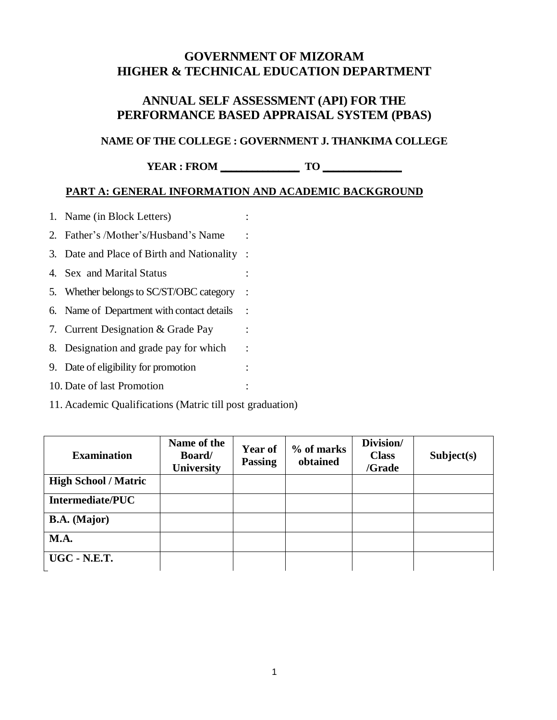# **GOVERNMENT OF MIZORAM HIGHER & TECHNICAL EDUCATION DEPARTMENT**

# **ANNUAL SELF ASSESSMENT (API) FOR THE PERFORMANCE BASED APPRAISAL SYSTEM (PBAS)**

## **NAME OF THE COLLEGE : GOVERNMENT J. THANKIMA COLLEGE**

**YEAR : FROM \_\_\_\_\_\_\_\_\_\_\_\_\_\_\_ TO \_\_\_\_\_\_\_\_\_\_\_\_\_\_\_**

## **PART A: GENERAL INFORMATION AND ACADEMIC BACKGROUND**

- 1. Name (in Block Letters) :
- 2. Father's /Mother's/Husband's Name :
- 3. Date and Place of Birth and Nationality :
- 4. Sex and Marital Status :
- 5. Whether belongs to SC/ST/OBC category :
- 6. Name of Department with contact details :
- 7. Current Designation & Grade Pay :
- 8. Designation and grade pay for which :
- 9. Date of eligibility for promotion :
- 10. Date of last Promotion :
- 11. Academic Qualifications (Matric till post graduation)

| <b>Examination</b>          | Name of the<br><b>Board</b> /<br>University | <b>Year of</b><br><b>Passing</b> | % of marks<br>obtained | Division/<br><b>Class</b><br>/Grade | Subject(s) |
|-----------------------------|---------------------------------------------|----------------------------------|------------------------|-------------------------------------|------------|
| <b>High School / Matric</b> |                                             |                                  |                        |                                     |            |
| Intermediate/PUC            |                                             |                                  |                        |                                     |            |
| <b>B.A.</b> (Major)         |                                             |                                  |                        |                                     |            |
| <b>M.A.</b>                 |                                             |                                  |                        |                                     |            |
| <b>UGC - N.E.T.</b>         |                                             |                                  |                        |                                     |            |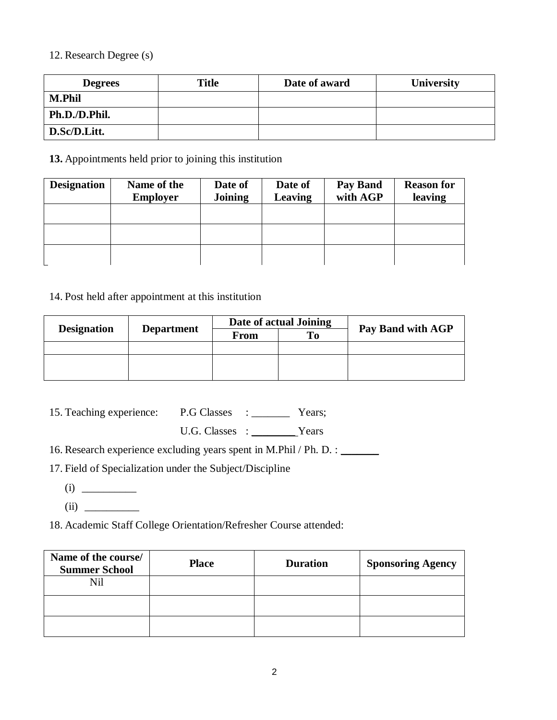## 12. Research Degree (s)

| <b>Degrees</b> | Title | Date of award | <b>University</b> |
|----------------|-------|---------------|-------------------|
| <b>M.Phil</b>  |       |               |                   |
| Ph.D./D.Phil.  |       |               |                   |
| D.Sc/D.Litt.   |       |               |                   |

### **13.** Appointments held prior to joining this institution

| <b>Designation</b> | Name of the<br><b>Employer</b> | Date of<br>Joining | Date of<br><b>Leaving</b> | Pay Band<br>with AGP | <b>Reason for</b><br>leaving |
|--------------------|--------------------------------|--------------------|---------------------------|----------------------|------------------------------|
|                    |                                |                    |                           |                      |                              |
|                    |                                |                    |                           |                      |                              |
|                    |                                |                    |                           |                      |                              |

# 14. Post held after appointment at this institution

|                    |                   | Date of actual Joining |    |                   |  |
|--------------------|-------------------|------------------------|----|-------------------|--|
| <b>Designation</b> | <b>Department</b> | <b>From</b>            | To | Pay Band with AGP |  |
|                    |                   |                        |    |                   |  |
|                    |                   |                        |    |                   |  |
|                    |                   |                        |    |                   |  |

15. Teaching experience: P.G Classes : \_\_\_\_\_\_\_ Years;

U.G. Classes : \_\_\_\_\_\_\_\_Years

16. Research experience excluding years spent in M.Phil / Ph. D. : \_\_\_\_\_\_\_

17. Field of Specialization under the Subject/Discipline

- $(i)$
- $(ii)$

18. Academic Staff College Orientation/Refresher Course attended:

| Name of the course/<br><b>Summer School</b> | <b>Place</b> | <b>Duration</b> | <b>Sponsoring Agency</b> |
|---------------------------------------------|--------------|-----------------|--------------------------|
| Nil                                         |              |                 |                          |
|                                             |              |                 |                          |
|                                             |              |                 |                          |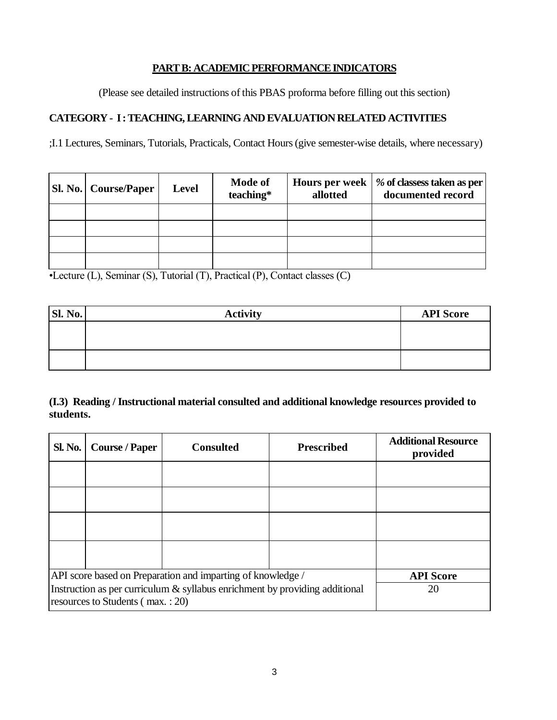## **PART B: ACADEMIC PERFORMANCE INDICATORS**

(Please see detailed instructions of this PBAS proforma before filling out this section)

## **CATEGORY- I :TEACHING, LEARNING AND EVALUATION RELATED ACTIVITIES**

;I.1 Lectures, Seminars, Tutorials, Practicals, Contact Hours (give semester-wise details, where necessary)

| <b>Sl. No.</b> Course/Paper | <b>Level</b> | Mode of<br>teaching* | Hours per week<br>allotted | % of classess taken as per<br>documented record |
|-----------------------------|--------------|----------------------|----------------------------|-------------------------------------------------|
|                             |              |                      |                            |                                                 |
|                             |              |                      |                            |                                                 |
|                             |              |                      |                            |                                                 |
|                             |              |                      |                            |                                                 |

•Lecture (L), Seminar (S), Tutorial (T), Practical (P), Contact classes (C)

| <b>Activity</b> | <b>API Score</b> |
|-----------------|------------------|
|                 |                  |
|                 |                  |
|                 |                  |
|                 |                  |

**(I.3) Reading / Instructional material consulted and additional knowledge resources provided to students.**

| <b>Sl. No.</b>                                                                                                     | <b>Course / Paper</b>                                       | <b>Consulted</b> | <b>Prescribed</b> | <b>Additional Resource</b><br>provided |
|--------------------------------------------------------------------------------------------------------------------|-------------------------------------------------------------|------------------|-------------------|----------------------------------------|
|                                                                                                                    |                                                             |                  |                   |                                        |
|                                                                                                                    |                                                             |                  |                   |                                        |
|                                                                                                                    |                                                             |                  |                   |                                        |
|                                                                                                                    |                                                             |                  |                   |                                        |
|                                                                                                                    | API score based on Preparation and imparting of knowledge / | <b>API</b> Score |                   |                                        |
| Instruction as per curriculum $\&$ syllabus enrichment by providing additional<br>resources to Students (max.: 20) |                                                             |                  |                   | 20                                     |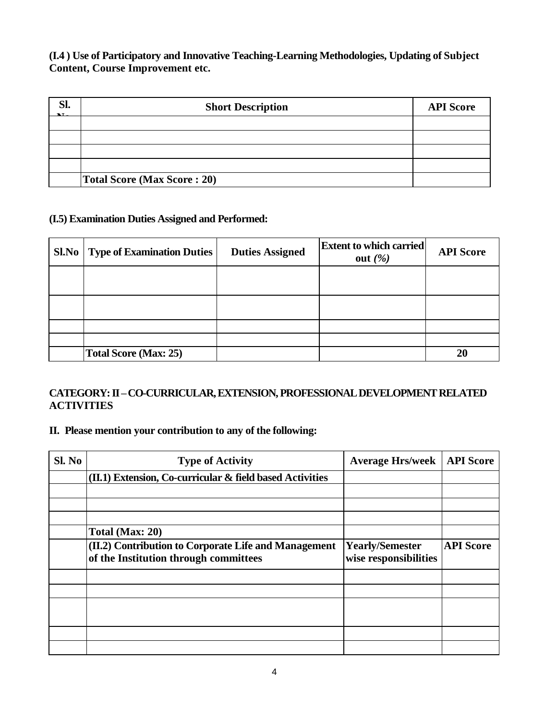#### **(I.4 ) Use of Participatory and Innovative Teaching-Learning Methodologies, Updating of Subject Content, Course Improvement etc.**

| Sl.<br>$\overline{M}$ | <b>Short Description</b>           | <b>API Score</b> |
|-----------------------|------------------------------------|------------------|
|                       |                                    |                  |
|                       |                                    |                  |
|                       |                                    |                  |
|                       |                                    |                  |
|                       | <b>Total Score (Max Score: 20)</b> |                  |

### **(I.5) Examination Duties Assigned and Performed:**

| Sl.No | <b>Type of Examination Duties</b> | <b>Duties Assigned</b> | <b>Extent to which carried</b><br>out $(\% )$ | <b>API</b> Score |
|-------|-----------------------------------|------------------------|-----------------------------------------------|------------------|
|       |                                   |                        |                                               |                  |
|       |                                   |                        |                                               |                  |
|       |                                   |                        |                                               |                  |
|       |                                   |                        |                                               |                  |
|       | <b>Total Score (Max: 25)</b>      |                        |                                               | 20               |

## **CATEGORY: II –CO-CURRICULAR, EXTENSION, PROFESSIONAL DEVELOPMENT RELATED ACTIVITIES**

### **II. Please mention your contribution to any of the following:**

| Sl. No | <b>Type of Activity</b>                                                                       | <b>Average Hrs/week</b>                         | <b>API</b> Score |
|--------|-----------------------------------------------------------------------------------------------|-------------------------------------------------|------------------|
|        | $(II.1)$ Extension, Co-curricular & field based Activities                                    |                                                 |                  |
|        |                                                                                               |                                                 |                  |
|        |                                                                                               |                                                 |                  |
|        |                                                                                               |                                                 |                  |
|        | Total (Max: 20)                                                                               |                                                 |                  |
|        | (II.2) Contribution to Corporate Life and Management<br>of the Institution through committees | <b>Yearly/Semester</b><br>wise responsibilities | <b>API Score</b> |
|        |                                                                                               |                                                 |                  |
|        |                                                                                               |                                                 |                  |
|        |                                                                                               |                                                 |                  |
|        |                                                                                               |                                                 |                  |
|        |                                                                                               |                                                 |                  |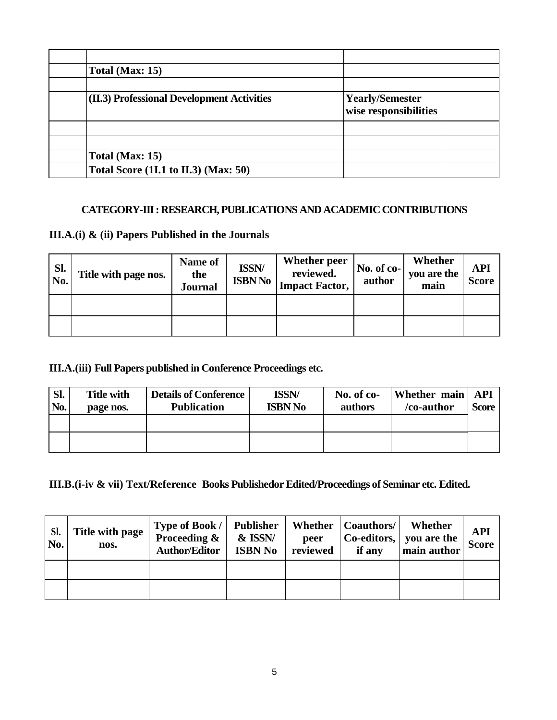| <b>Total (Max: 15)</b>                     |                                          |  |
|--------------------------------------------|------------------------------------------|--|
|                                            |                                          |  |
| (II.3) Professional Development Activities | Yearly/Semester<br>wise responsibilities |  |
|                                            |                                          |  |
|                                            |                                          |  |
| Total (Max: 15)                            |                                          |  |
| Total Score (1I.1 to II.3) (Max: 50)       |                                          |  |

### **CATEGORY-III : RESEARCH, PUBLICATIONS AND ACADEMIC CONTRIBUTIONS**

## **III.A.(i) & (ii) Papers Published in the Journals**

| Sl.<br>No. | Title with page nos. | Name of<br>the<br><b>Journal</b> | <b>ISSN/</b><br><b>ISBN No</b> | Whether peer<br>reviewed.<br><b>Impact Factor,</b> | No. of co-<br>author | Whether<br>you are the<br>main | API<br><b>Score</b> |
|------------|----------------------|----------------------------------|--------------------------------|----------------------------------------------------|----------------------|--------------------------------|---------------------|
|            |                      |                                  |                                |                                                    |                      |                                |                     |
|            |                      |                                  |                                |                                                    |                      |                                |                     |

## **III.A.(iii) Full Papers published in Conference Proceedings etc.**

| Sl.<br>No. | <b>Title with</b><br>page nos. | <b>Details of Conference</b><br><b>Publication</b> | <b>ISSN/</b><br><b>ISBN No</b> | No. of co-<br>authors | Whether main<br>/co-author | API<br>Score |
|------------|--------------------------------|----------------------------------------------------|--------------------------------|-----------------------|----------------------------|--------------|
|            |                                |                                                    |                                |                       |                            |              |
|            |                                |                                                    |                                |                       |                            |              |

**III.B.(i-iv & vii) Text/Reference Books Publishedor Edited/Proceedings of Seminar etc. Edited.**

| Sl.<br>No. | Title with page<br>nos. | <b>Type of Book /  </b><br>Proceeding $\&$<br><b>Author/Editor</b> | Publisher<br>& ISSN/<br><b>ISBN No</b> | peer<br>reviewed | Whether   Coauthors/<br>if any | Whether<br>Co-editors, you are the<br>main author | API<br><b>Score</b> |
|------------|-------------------------|--------------------------------------------------------------------|----------------------------------------|------------------|--------------------------------|---------------------------------------------------|---------------------|
|            |                         |                                                                    |                                        |                  |                                |                                                   |                     |
|            |                         |                                                                    |                                        |                  |                                |                                                   |                     |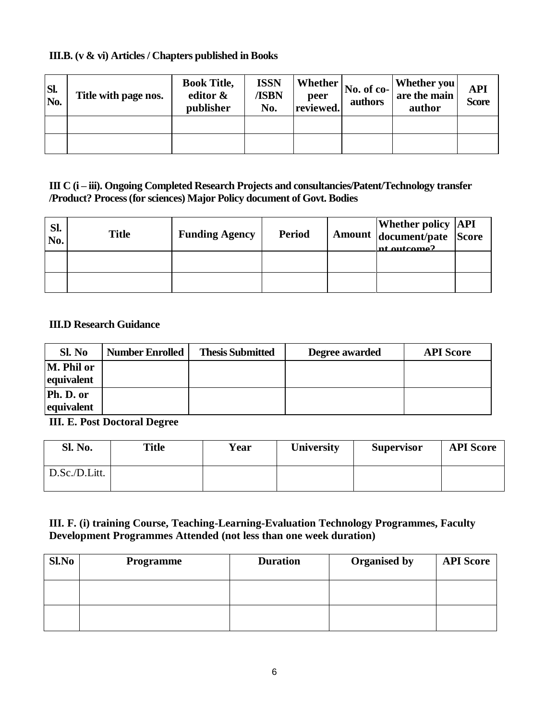## **III.B. (v & vi) Articles / Chapters published in Books**

| Sl.<br>No. | Title with page nos. | <b>Book Title,</b><br>editor &<br>publisher | <b>ISSN</b><br>/ISBN<br>No. | Whether  <br>peer<br>reviewed. | No. of co-<br>authors | Whether you<br>are the main<br>author | <b>API</b><br><b>Score</b> |
|------------|----------------------|---------------------------------------------|-----------------------------|--------------------------------|-----------------------|---------------------------------------|----------------------------|
|            |                      |                                             |                             |                                |                       |                                       |                            |
|            |                      |                                             |                             |                                |                       |                                       |                            |

## **III C (i – iii). Ongoing Completed Research Projects and consultancies/Patent/Technology transfer /Product? Process (for sciences) Major Policy document of Govt. Bodies**

| Sl.<br>No. | Title | <b>Funding Agency</b> | <b>Period</b> | <b>Amount</b> Whether policy <b>API</b><br>document/pate Score<br>nt outcome? |  |
|------------|-------|-----------------------|---------------|-------------------------------------------------------------------------------|--|
|            |       |                       |               |                                                                               |  |
|            |       |                       |               |                                                                               |  |

### **III.D Research Guidance**

| Sl. No                   | <b>Number Enrolled</b> | <b>Thesis Submitted</b> | Degree awarded | <b>API</b> Score |
|--------------------------|------------------------|-------------------------|----------------|------------------|
| M. Phil or<br>equivalent |                        |                         |                |                  |
| Ph. D. or<br>equivalent  |                        |                         |                |                  |

**III. E. Post Doctoral Degree**

| Sl. No.       | <b>Title</b> | Year | University | <b>Supervisor</b> | <b>API Score</b> |
|---------------|--------------|------|------------|-------------------|------------------|
| D.Sc./D.Litt. |              |      |            |                   |                  |

## **III. F. (i) training Course, Teaching-Learning-Evaluation Technology Programmes, Faculty Development Programmes Attended (not less than one week duration)**

| Sl.No | Programme | <b>Duration</b> | <b>Organised by</b> | <b>API Score</b> |
|-------|-----------|-----------------|---------------------|------------------|
|       |           |                 |                     |                  |
|       |           |                 |                     |                  |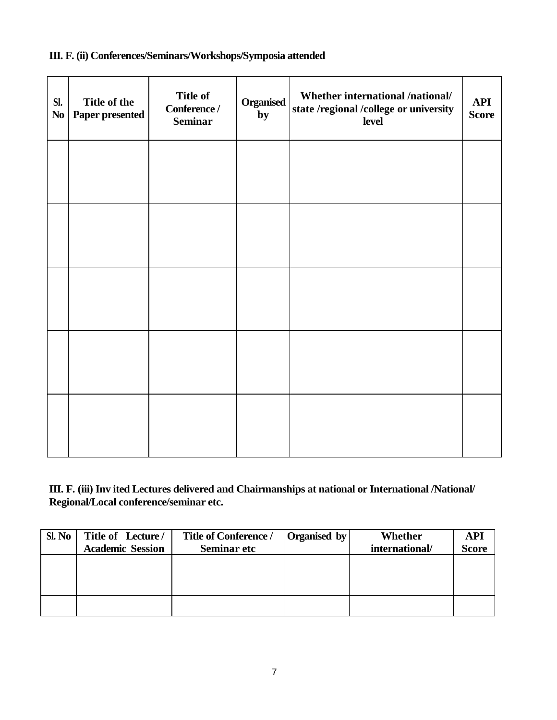## **III. F. (ii) Conferences/Seminars/Workshops/Symposia attended**

| SI.<br>$\mathbf{N}\mathbf{o}$ | Title of the<br>Paper presented | <b>Title of</b><br>Conference /<br><b>Seminar</b> | <b>Organised</b><br>by | Whether international /national/<br>state /regional /college or university<br>level | <b>API</b><br><b>Score</b> |
|-------------------------------|---------------------------------|---------------------------------------------------|------------------------|-------------------------------------------------------------------------------------|----------------------------|
|                               |                                 |                                                   |                        |                                                                                     |                            |
|                               |                                 |                                                   |                        |                                                                                     |                            |
|                               |                                 |                                                   |                        |                                                                                     |                            |
|                               |                                 |                                                   |                        |                                                                                     |                            |
|                               |                                 |                                                   |                        |                                                                                     |                            |

## **III. F. (iii) Inv ited Lectures delivered and Chairmanships at national or International /National/ Regional/Local conference/seminar etc.**

| Sl. No | Title of Lecture/       | <b>Title of Conference /</b> | Organised by | Whether        | <b>API</b>   |
|--------|-------------------------|------------------------------|--------------|----------------|--------------|
|        | <b>Academic Session</b> | <b>Seminar etc</b>           |              | international/ | <b>Score</b> |
|        |                         |                              |              |                |              |
|        |                         |                              |              |                |              |
|        |                         |                              |              |                |              |
|        |                         |                              |              |                |              |
|        |                         |                              |              |                |              |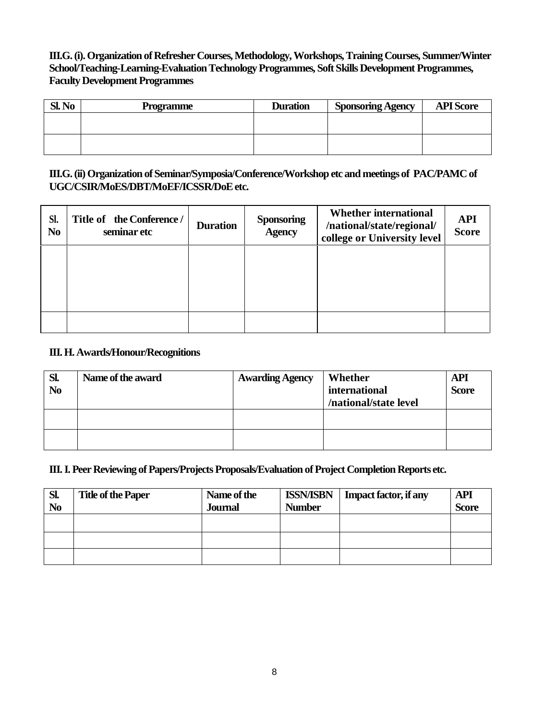**III.G. (i). Organization of Refresher Courses, Methodology, Workshops, Training Courses, Summer/Winter School/Teaching-Learning-Evaluation Technology Programmes, Soft Skills Development Programmes, Faculty Development Programmes**

| <b>Sl. No</b> | Programme | <b>Duration</b> | <b>Sponsoring Agency</b> | <b>API Score</b> |
|---------------|-----------|-----------------|--------------------------|------------------|
|               |           |                 |                          |                  |
|               |           |                 |                          |                  |
|               |           |                 |                          |                  |

## **III.G. (ii) Organization of Seminar/Symposia/Conference/Workshop etc and meetings of PAC/PAMC of UGC/CSIR/MoES/DBT/MoEF/ICSSR/DoE etc.**

| Sl.<br>N <sub>0</sub> | Title of the Conference /<br>seminar etc | <b>Duration</b> | <b>Sponsoring</b><br><b>Agency</b> | <b>Whether international</b><br>/national/state/regional/<br>college or University level | <b>API</b><br><b>Score</b> |
|-----------------------|------------------------------------------|-----------------|------------------------------------|------------------------------------------------------------------------------------------|----------------------------|
|                       |                                          |                 |                                    |                                                                                          |                            |
|                       |                                          |                 |                                    |                                                                                          |                            |
|                       |                                          |                 |                                    |                                                                                          |                            |

# **III. H. Awards/Honour/Recognitions**

| Sl.<br>N <sub>0</sub> | Name of the award | <b>Awarding Agency</b> | Whether<br>international<br>/national/state level | <b>API</b><br><b>Score</b> |
|-----------------------|-------------------|------------------------|---------------------------------------------------|----------------------------|
|                       |                   |                        |                                                   |                            |
|                       |                   |                        |                                                   |                            |

### **III. I. Peer Reviewing of Papers/Projects Proposals/Evaluation of Project Completion Reports etc.**

| SI.<br>No | <b>Title of the Paper</b> | Name of the<br><b>Journal</b> | <b>ISSN/ISBN</b><br><b>Number</b> | <b>Impact factor, if any</b> | <b>API</b><br><b>Score</b> |
|-----------|---------------------------|-------------------------------|-----------------------------------|------------------------------|----------------------------|
|           |                           |                               |                                   |                              |                            |
|           |                           |                               |                                   |                              |                            |
|           |                           |                               |                                   |                              |                            |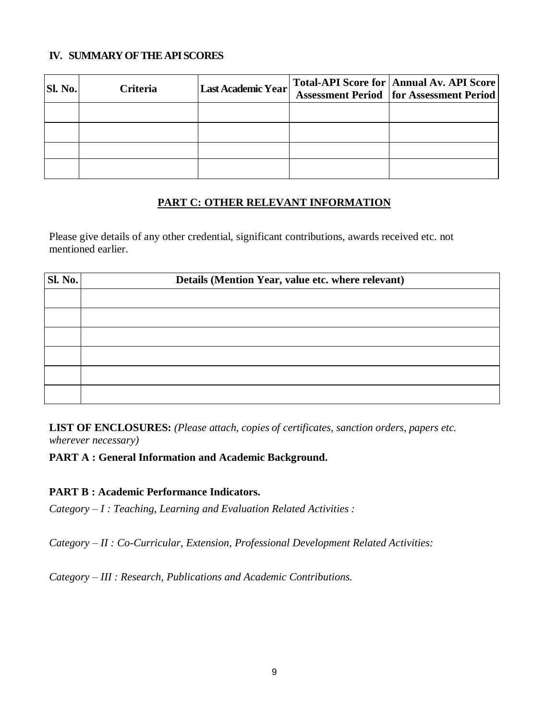#### **IV. SUMMARY OF THE API SCORES**

| <b>Sl. No.</b> | <b>Criteria</b> | Last Academic Year | Total-API Score for Annual Av. API Score<br>Assessment Period for Assessment Period |
|----------------|-----------------|--------------------|-------------------------------------------------------------------------------------|
|                |                 |                    |                                                                                     |
|                |                 |                    |                                                                                     |
|                |                 |                    |                                                                                     |
|                |                 |                    |                                                                                     |

## **PART C: OTHER RELEVANT INFORMATION**

Please give details of any other credential, significant contributions, awards received etc. not mentioned earlier.

| <b>Sl. No.</b> | Details (Mention Year, value etc. where relevant) |  |  |
|----------------|---------------------------------------------------|--|--|
|                |                                                   |  |  |
|                |                                                   |  |  |
|                |                                                   |  |  |
|                |                                                   |  |  |
|                |                                                   |  |  |
|                |                                                   |  |  |

**LIST OF ENCLOSURES:** *(Please attach, copies of certificates, sanction orders, papers etc. wherever necessary)*

### **PART A : General Information and Academic Background.**

### **PART B : Academic Performance Indicators.**

*Category – I : Teaching, Learning and Evaluation Related Activities :*

*Category – II : Co-Curricular, Extension, Professional Development Related Activities:*

*Category – III : Research, Publications and Academic Contributions.*